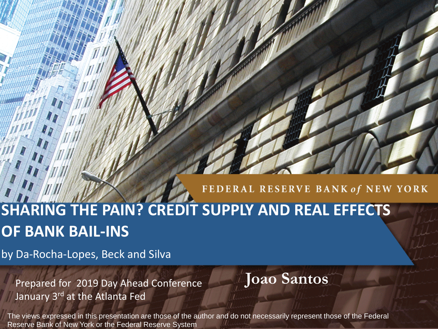#### FEDERAL RESERVE BANK of NEW YORK

# **SHARING THE PAIN? CREDIT SUPPLY AND REAL EFFECTS OF BANK BAIL-INS**

by Da-Rocha-Lopes, Beck and Silva

Prepared for 2019 Day Ahead Conference **Joao Santos** January 3<sup>rd</sup> at the Atlanta Fed

The views expressed in this presentation are those of the author and do not necessarily represent those of the Federal Reserve Bank of New York or the Federal Reserve System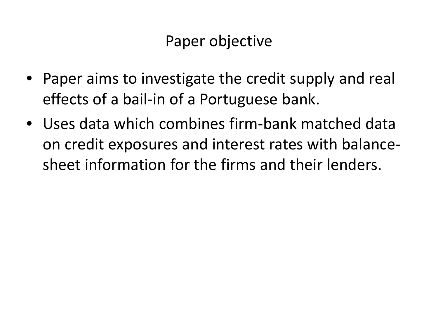#### Paper objective

- Paper aims to investigate the credit supply and real effects of a bail-in of a Portuguese bank.
- Uses data which combines firm-bank matched data on credit exposures and interest rates with balancesheet information for the firms and their lenders.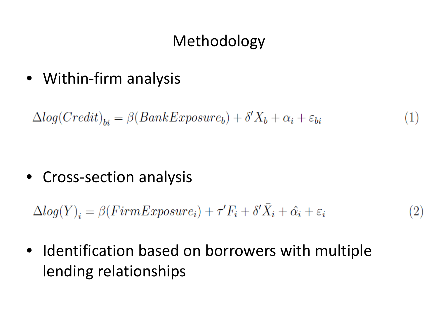## Methodology

• Within-firm analysis

 $\Delta log(Credit)_{bi} = \beta(BankExposure_b) + \delta'X_b + \alpha_i + \varepsilon_{bi}$  $(1)$ 

• Cross-section analysis

 $\Delta log(Y)_i = \beta(FirmExposure_i) + \tau'F_i + \delta'\bar{X}_i + \hat{\alpha}_i + \varepsilon_i$  $(2)$ 

• Identification based on borrowers with multiple lending relationships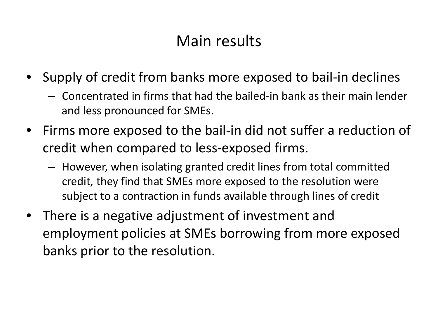#### Main results

- Supply of credit from banks more exposed to bail-in declines
	- Concentrated in firms that had the bailed-in bank as their main lender and less pronounced for SMEs.
- Firms more exposed to the bail-in did not suffer a reduction of credit when compared to less-exposed firms.
	- However, when isolating granted credit lines from total committed credit, they find that SMEs more exposed to the resolution were subject to a contraction in funds available through lines of credit
- There is a negative adjustment of investment and employment policies at SMEs borrowing from more exposed banks prior to the resolution.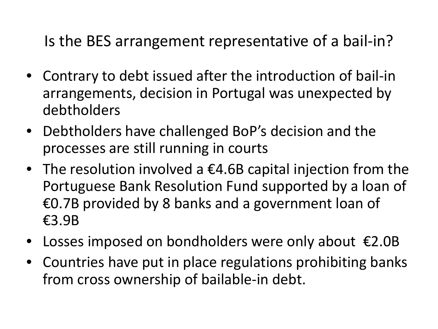Is the BES arrangement representative of a bail-in?

- Contrary to debt issued after the introduction of bail-in arrangements, decision in Portugal was unexpected by debtholders
- Debtholders have challenged BoP's decision and the processes are still running in courts
- The resolution involved a €4.6B capital injection from the Portuguese Bank Resolution Fund supported by a loan of €0.7B provided by 8 banks and a government loan of €3.9B
- Losses imposed on bondholders were only about  $\epsilon$ 2.0B
- Countries have put in place regulations prohibiting banks from cross ownership of bailable-in debt.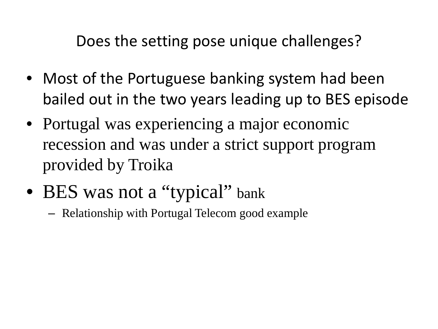Does the setting pose unique challenges?

- Most of the Portuguese banking system had been bailed out in the two years leading up to BES episode
- Portugal was experiencing a major economic recession and was under a strict support program provided by Troika
- BES was not a "typical" bank
	- Relationship with Portugal Telecom good example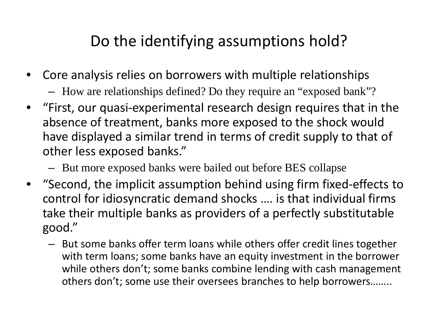## Do the identifying assumptions hold?

- Core analysis relies on borrowers with multiple relationships
	- How are relationships defined? Do they require an "exposed bank"?
- "First, our quasi-experimental research design requires that in the absence of treatment, banks more exposed to the shock would have displayed a similar trend in terms of credit supply to that of other less exposed banks."
	- But more exposed banks were bailed out before BES collapse
- "Second, the implicit assumption behind using firm fixed-effects to control for idiosyncratic demand shocks …. is that individual firms take their multiple banks as providers of a perfectly substitutable good."
	- But some banks offer term loans while others offer credit lines together with term loans; some banks have an equity investment in the borrower while others don't; some banks combine lending with cash management others don't; some use their oversees branches to help borrowers……..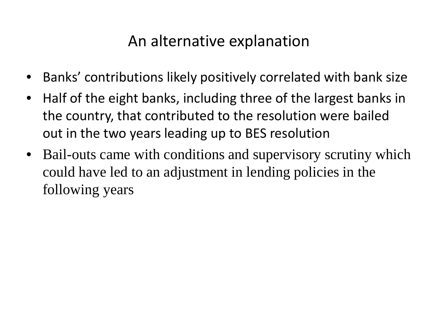#### An alternative explanation

- Banks' contributions likely positively correlated with bank size
- Half of the eight banks, including three of the largest banks in the country, that contributed to the resolution were bailed out in the two years leading up to BES resolution
- Bail-outs came with conditions and supervisory scrutiny which could have led to an adjustment in lending policies in the following years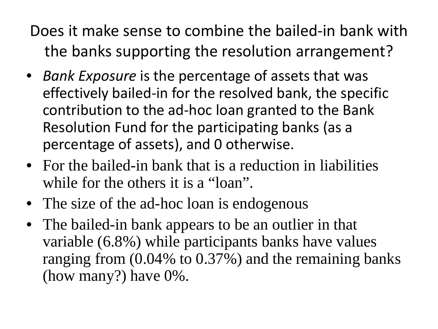Does it make sense to combine the bailed-in bank with the banks supporting the resolution arrangement?

- *Bank Exposure* is the percentage of assets that was effectively bailed-in for the resolved bank, the specific contribution to the ad-hoc loan granted to the Bank Resolution Fund for the participating banks (as a percentage of assets), and 0 otherwise.
- For the bailed-in bank that is a reduction in liabilities while for the others it is a "loan".
- The size of the ad-hoc loan is endogenous
- The bailed-in bank appears to be an outlier in that variable (6.8%) while participants banks have values ranging from (0.04% to 0.37%) and the remaining banks (how many?) have 0%.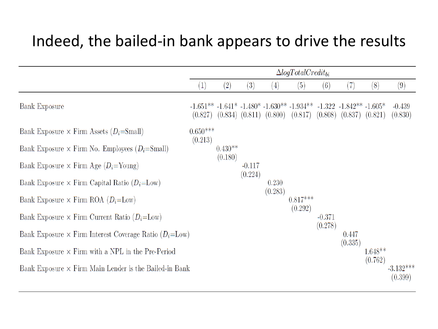#### Indeed, the bailed-in bank appears to drive the results

|                                                                   | $\Delta logTotalCredit_{bi}$ |                   |          |                   |                                                                                                                                                             |          |         |           |                        |
|-------------------------------------------------------------------|------------------------------|-------------------|----------|-------------------|-------------------------------------------------------------------------------------------------------------------------------------------------------------|----------|---------|-----------|------------------------|
|                                                                   | (1)                          | $\left( 2\right)$ | (3)      | $\left( 4\right)$ | (5)                                                                                                                                                         | (6)      | (7)     | (8)       | (9)                    |
| <b>Bank Exposure</b>                                              | (0.827)                      |                   |          |                   | $-1.651**$ $-1.641*$ $-1.480*$ $-1.630**$ $-1.934**$ $-1.322$ $-1.842**$ $-1.605*$<br>$(0.834)$ $(0.811)$ $(0.800)$ $(0.817)$ $(0.808)$ $(0.837)$ $(0.821)$ |          |         |           | $-0.439$<br>(0.830)    |
| Bank Exposure $\times$ Firm Assets ( $D_i$ =Small)                | $0.650***$<br>(0.213)        |                   |          |                   |                                                                                                                                                             |          |         |           |                        |
| Bank Exposure $\times$ Firm No. Employees ( $D_i$ =Small)         |                              | $0.430**$         |          |                   |                                                                                                                                                             |          |         |           |                        |
| Bank Exposure $\times$ Firm Age ( $D_i$ =Young)                   |                              | (0.180)           | $-0.117$ |                   |                                                                                                                                                             |          |         |           |                        |
| Bank Exposure $\times$ Firm Capital Ratio ( $D_i$ =Low)           |                              |                   | (0.224)  | 0.230             |                                                                                                                                                             |          |         |           |                        |
| Bank Exposure $\times$ Firm ROA ( $D_i$ =Low)                     |                              |                   |          | (0.283)           | $0.817***$                                                                                                                                                  |          |         |           |                        |
| Bank Exposure $\times$ Firm Current Ratio ( $D_i$ =Low)           |                              |                   |          |                   | (0.292)                                                                                                                                                     | $-0.371$ |         |           |                        |
| Bank Exposure $\times$ Firm Interest Coverage Ratio ( $D_i$ =Low) |                              |                   |          |                   |                                                                                                                                                             | (0.278)  | 0.447   |           |                        |
| Bank Exposure $\times$ Firm with a NPL in the Pre-Period          |                              |                   |          |                   |                                                                                                                                                             |          | (0.335) | $1.648**$ |                        |
| Bank Exposure $\times$ Firm Main Lender is the Bailed-in Bank     |                              |                   |          |                   |                                                                                                                                                             |          |         | (0.762)   | $-3.132***$<br>(0.399) |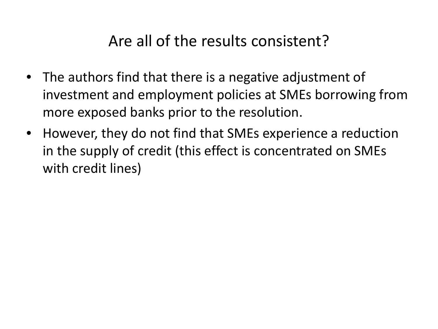#### Are all of the results consistent?

- The authors find that there is a negative adjustment of investment and employment policies at SMEs borrowing from more exposed banks prior to the resolution.
- However, they do not find that SMEs experience a reduction in the supply of credit (this effect is concentrated on SMEs with credit lines)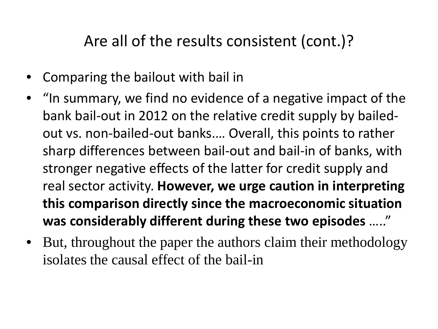#### Are all of the results consistent (cont.)?

- Comparing the bailout with bail in
- "In summary, we find no evidence of a negative impact of the bank bail-out in 2012 on the relative credit supply by bailedout vs. non-bailed-out banks.… Overall, this points to rather sharp differences between bail-out and bail-in of banks, with stronger negative effects of the latter for credit supply and real sector activity. **However, we urge caution in interpreting this comparison directly since the macroeconomic situation was considerably different during these two episodes** ….."
- But, throughout the paper the authors claim their methodology isolates the causal effect of the bail-in